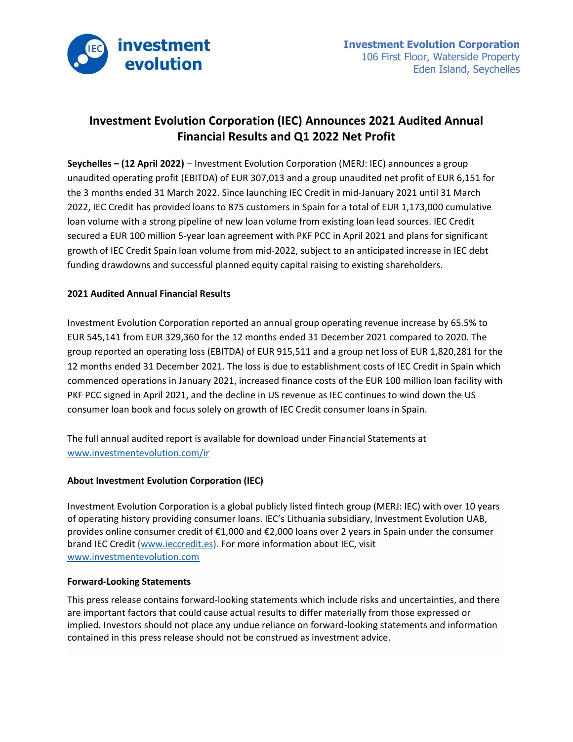

## **Investment Evolution Corporation (IEC) Announces 2021 Audited Annual Financial Results and Q1 2022 Net Profit**

**Seychelles – (12 April 2022)** – Investment Evolution Corporation (MERJ: IEC) announces a group unaudited operating profit (EBITDA) of EUR 307,013 and a group unaudited net profit of EUR 6,151 for the 3 months ended 31 March 2022. Since launching IEC Credit in mid-January 2021 until 31 March 2022, IEC Credit has provided loans to 875 customers in Spain for a total of EUR 1,173,000 cumulative loan volume with a strong pipeline of new loan volume from existing loan lead sources. IEC Credit secured a EUR 100 million 5-year loan agreement with PKF PCC in April 2021 and plans for significant growth of IEC Credit Spain loan volume from mid-2022, subject to an anticipated increase in IEC debt funding drawdowns and successful planned equity capital raising to existing shareholders.

## **2021 Audited Annual Financial Results**

Investment Evolution Corporation reported an annual group operating revenue increase by 65.5% to EUR 545,141 from EUR 329,360 for the 12 months ended 31 December 2021 compared to 2020. The group reported an operating loss (EBITDA) of EUR 915,511 and a group net loss of EUR 1,820,281 for the 12 months ended 31 December 2021. The loss is due to establishment costs of IEC Credit in Spain which commenced operations in January 2021, increased finance costs of the EUR 100 million loan facility with PKF PCC signed in April 2021, and the decline in US revenue as IEC continues to wind down the US consumer loan book and focus solely on growth of IEC Credit consumer loans in Spain.

The full annual audited report is available for download under Financial Statements at [www.investmentevolution.com/ir](https://www.investmentevolution.com/ir)

## **About Investment Evolution Corporation (IEC)**

Investment Evolution Corporation is a global publicly listed fintech group (MERJ: IEC) with over 10 years of operating history providing consumer loans. IEC's Lithuania subsidiary, Investment Evolution UAB, provides online consumer credit of €1,000 and €2,000 loans over 2 years in Spain under the consumer brand IEC Credit [\(www.ieccredit.es\)](https://www.ieccredit.es/). For more information about IEC, visit [www.investmentevolution.com](https://www.investmentevolution.com/)

## **Forward-Looking Statements**

This press release contains forward-looking statements which include risks and uncertainties, and there are important factors that could cause actual results to differ materially from those expressed or implied. Investors should not place any undue reliance on forward-looking statements and information contained in this press release should not be construed as investment advice.